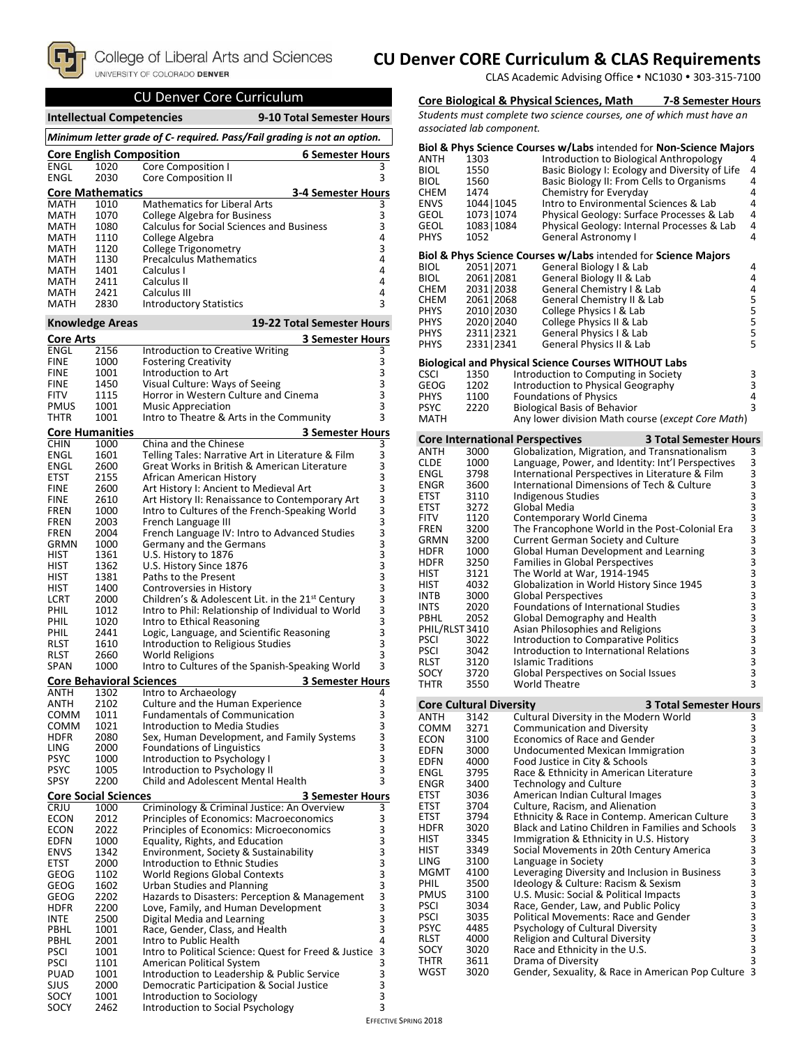

## **CU Denver CORE Curriculum & CLAS Requirements**

CLAS Academic Advising Office . NC1030 . 303-315-7100

# CU Denver Core Curriculum

| 9-10 Total Semester Hours<br><b>Intellectual Competencies</b> |                                                                          |                                                                                                                    |                                            |  |  |
|---------------------------------------------------------------|--------------------------------------------------------------------------|--------------------------------------------------------------------------------------------------------------------|--------------------------------------------|--|--|
|                                                               | Minimum letter grade of C- required. Pass/Fail grading is not an option. |                                                                                                                    |                                            |  |  |
|                                                               | <b>Core English Composition</b><br><b>6 Semester Hours</b>               |                                                                                                                    |                                            |  |  |
| <b>ENGL</b><br><b>ENGL</b>                                    | 1020<br>2030                                                             | Core Composition I<br><b>Core Composition II</b>                                                                   | 3<br>3                                     |  |  |
| <b>Core Mathematics</b>                                       |                                                                          | <b>3-4 Semester Hours</b>                                                                                          |                                            |  |  |
| MATH                                                          | 1010                                                                     | <b>Mathematics for Liberal Arts</b>                                                                                | з                                          |  |  |
| <b>MATH</b>                                                   | 1070                                                                     | <b>College Algebra for Business</b>                                                                                | 3                                          |  |  |
| MATH<br>MATH                                                  | 1080<br>1110                                                             | <b>Calculus for Social Sciences and Business</b><br>College Algebra                                                | 3<br>4                                     |  |  |
| MATH                                                          | 1120                                                                     | College Trigonometry                                                                                               | 3                                          |  |  |
| MATH                                                          | 1130                                                                     | <b>Precalculus Mathematics</b>                                                                                     | 4                                          |  |  |
| <b>MATH</b><br>MATH                                           | 1401<br>2411                                                             | Calculus I<br>Calculus II                                                                                          | 4<br>4                                     |  |  |
| <b>MATH</b>                                                   | 2421                                                                     | Calculus III                                                                                                       | 4                                          |  |  |
| <b>MATH</b>                                                   | 2830                                                                     | <b>Introductory Statistics</b>                                                                                     | 3                                          |  |  |
| <b>Knowledge Areas</b>                                        |                                                                          | 19-22 Total Semester Hours                                                                                         |                                            |  |  |
| Core Arts                                                     |                                                                          | <b>3 Semester Hours</b>                                                                                            |                                            |  |  |
| <b>ENGL</b><br><b>FINE</b>                                    | 2156<br>1000                                                             | Introduction to Creative Writing<br><b>Fostering Creativity</b>                                                    | 3<br>3                                     |  |  |
| <b>FINE</b>                                                   | 1001                                                                     | Introduction to Art                                                                                                | 3                                          |  |  |
| <b>FINE</b>                                                   | 1450                                                                     | Visual Culture: Ways of Seeing                                                                                     | 3                                          |  |  |
| FITV<br><b>PMUS</b>                                           | 1115<br>1001                                                             | Horror in Western Culture and Cinema                                                                               | $\overline{3}$<br>3                        |  |  |
| THTR                                                          | 1001                                                                     | <b>Music Appreciation</b><br>Intro to Theatre & Arts in the Community                                              | 3                                          |  |  |
| <b>Core Humanities</b>                                        |                                                                          | <b>3 Semester Hours</b>                                                                                            |                                            |  |  |
| <b>CHIN</b>                                                   | 1000                                                                     | China and the Chinese                                                                                              | 3                                          |  |  |
| ENGL<br><b>ENGL</b>                                           | 1601<br>2600                                                             | Telling Tales: Narrative Art in Literature & Film<br>Great Works in British & American Literature                  | 3                                          |  |  |
| ETST                                                          | 2155                                                                     | African American History                                                                                           | $\frac{3}{3}$                              |  |  |
| <b>FINE</b>                                                   | 2600                                                                     | Art History I: Ancient to Medieval Art                                                                             | $\overline{3}$                             |  |  |
| <b>FINE</b>                                                   | 2610                                                                     | Art History II: Renaissance to Contemporary Art                                                                    | $\frac{3}{3}$                              |  |  |
| FREN<br><b>FREN</b>                                           | 1000<br>2003                                                             | Intro to Cultures of the French-Speaking World<br>French Language III                                              |                                            |  |  |
| FREN                                                          | 2004                                                                     | French Language IV: Intro to Advanced Studies                                                                      |                                            |  |  |
| GRMN                                                          | 1000                                                                     | Germany and the Germans                                                                                            |                                            |  |  |
| HIST<br>HIST                                                  | 1361<br>1362                                                             | U.S. History to 1876<br>U.S. History Since 1876                                                                    |                                            |  |  |
| <b>HIST</b>                                                   | 1381                                                                     | Paths to the Present                                                                                               |                                            |  |  |
| HIST                                                          | 1400                                                                     | Controversies in History                                                                                           |                                            |  |  |
| LCRT<br>PHIL                                                  | 2000<br>1012                                                             | Children's & Adolescent Lit. in the 21 <sup>st</sup> Century<br>Intro to Phil: Relationship of Individual to World |                                            |  |  |
| PHIL                                                          | 1020                                                                     | Intro to Ethical Reasoning                                                                                         |                                            |  |  |
| PHIL                                                          | 2441                                                                     | Logic, Language, and Scientific Reasoning                                                                          |                                            |  |  |
| RLST<br><b>RLST</b>                                           | 1610<br>2660                                                             | Introduction to Religious Studies<br><b>World Religions</b>                                                        | 3                                          |  |  |
| <b>SPAN</b>                                                   | 1000                                                                     | Intro to Cultures of the Spanish-Speaking World                                                                    | 3                                          |  |  |
|                                                               |                                                                          | <b>Core Behavioral Sciences</b><br><b>3 Semester Hours</b>                                                         |                                            |  |  |
| ANTH                                                          | 1302                                                                     | Intro to Archaeology                                                                                               | 4                                          |  |  |
| ANIH<br>COMM                                                  | 2102<br>1011                                                             | Culture and the Human Experience<br><b>Fundamentals of Communication</b>                                           | 3                                          |  |  |
| COMM                                                          | 1021                                                                     | Introduction to Media Studies                                                                                      |                                            |  |  |
| <b>HDFR</b>                                                   | 2080                                                                     | Sex, Human Development, and Family Systems                                                                         | $\begin{array}{c} 3 \\ 3 \\ 3 \end{array}$ |  |  |
| LING<br><b>PSYC</b>                                           | 2000<br>1000                                                             | <b>Foundations of Linguistics</b><br>Introduction to Psychology I                                                  |                                            |  |  |
| <b>PSYC</b>                                                   | 1005                                                                     | Introduction to Psychology II                                                                                      | 3<br>3<br>3                                |  |  |
| SPSY                                                          | 2200                                                                     | Child and Adolescent Mental Health                                                                                 |                                            |  |  |
| <b>Core Social Sciences</b>                                   |                                                                          | <b>3 Semester Hours</b>                                                                                            |                                            |  |  |
| CRJU<br><b>ECON</b>                                           | 1000<br>2012                                                             | Criminology & Criminal Justice: An Overview<br>Principles of Economics: Macroeconomics                             | 3<br>3                                     |  |  |
| <b>ECON</b>                                                   | 2022                                                                     | Principles of Economics: Microeconomics                                                                            | $\overline{\mathbf{3}}$                    |  |  |
| <b>EDFN</b>                                                   | 1000                                                                     | Equality, Rights, and Education                                                                                    | 3                                          |  |  |
| <b>ENVS</b><br>ETST                                           | 1342                                                                     | Environment, Society & Sustainability<br>Introduction to Ethnic Studies                                            | 3<br>3<br>3<br>3<br>3                      |  |  |
| GEOG                                                          | 2000<br>1102                                                             | World Regions Global Contexts                                                                                      |                                            |  |  |
| GEOG                                                          | 1602                                                                     | Urban Studies and Planning                                                                                         |                                            |  |  |
| GEOG                                                          | 2202                                                                     | Hazards to Disasters: Perception & Management                                                                      |                                            |  |  |
| <b>HDFR</b><br>INTE                                           | 2200<br>2500                                                             | Love, Family, and Human Development<br>Digital Media and Learning                                                  | $\begin{array}{c} 3 \\ 3 \\ 3 \end{array}$ |  |  |
| PBHL                                                          | 1001                                                                     | Race, Gender, Class, and Health                                                                                    |                                            |  |  |
| PBHL                                                          | 2001                                                                     | Intro to Public Health                                                                                             | 4                                          |  |  |
| <b>PSCI</b><br><b>PSCI</b>                                    | 1001<br>1101                                                             | Intro to Political Science: Quest for Freed & Justice<br>American Political System                                 | 3<br>3                                     |  |  |
| PUAD                                                          | 1001                                                                     | Introduction to Leadership & Public Service                                                                        |                                            |  |  |
| SJUS                                                          | 2000                                                                     | Democratic Participation & Social Justice                                                                          | $\begin{array}{c} 3 \\ 3 \\ 3 \end{array}$ |  |  |
| SOCY<br>SOCY                                                  | 1001<br>2462                                                             | Introduction to Sociology<br>Introduction to Social Psychology                                                     | 3                                          |  |  |
|                                                               |                                                                          |                                                                                                                    |                                            |  |  |

## **Core Biological & Physical Sciences, Math 7-8 Semester Hours**

*Students must complete two science courses, one of which must have an associated lab component.*

| ANTH<br>BIOL<br>BIOL<br>снем<br>ENVS<br>GEOL<br>GEOL<br>PHYS | 1303<br>1550<br>1560<br>1474<br>1044   1045<br>1073   1074<br>1083   1084<br>1052 |                                        | Biol & Phys Science Courses w/Labs intended for Non-Science Majors<br>Introduction to Biological Anthropology<br>Basic Biology I: Ecology and Diversity of Life<br>Basic Biology II: From Cells to Organisms<br>Chemistry for Everyday<br>Intro to Environmental Sciences & Lab<br>Physical Geology: Surface Processes & Lab<br>Physical Geology: Internal Processes & Lab<br>General Astronomy I | 4<br>4<br>4<br>4<br>4<br>4<br>4<br>4 |
|--------------------------------------------------------------|-----------------------------------------------------------------------------------|----------------------------------------|---------------------------------------------------------------------------------------------------------------------------------------------------------------------------------------------------------------------------------------------------------------------------------------------------------------------------------------------------------------------------------------------------|--------------------------------------|
|                                                              |                                                                                   |                                        | Biol & Phys Science Courses w/Labs intended for Science Majors                                                                                                                                                                                                                                                                                                                                    |                                      |
| BIOL                                                         | 2051 2071                                                                         |                                        | General Biology I & Lab                                                                                                                                                                                                                                                                                                                                                                           | 4                                    |
| BIOL<br>CHEM                                                 | 2061   2081<br>2031   2038                                                        |                                        | General Biology II & Lab<br>General Chemistry I & Lab                                                                                                                                                                                                                                                                                                                                             | 4<br>4                               |
| СНЕМ                                                         | 2061   2068                                                                       |                                        | General Chemistry II & Lab                                                                                                                                                                                                                                                                                                                                                                        |                                      |
| PHYS                                                         | 2010   2030                                                                       |                                        | College Physics I & Lab                                                                                                                                                                                                                                                                                                                                                                           | 5<br>5                               |
| PHYS                                                         | 2020   2040                                                                       |                                        | College Physics II & Lab                                                                                                                                                                                                                                                                                                                                                                          | 5                                    |
| PHYS<br>PHYS                                                 | 2311   2321<br>2331 2341                                                          |                                        | General Physics I & Lab<br>General Physics II & Lab                                                                                                                                                                                                                                                                                                                                               | 5<br>5                               |
|                                                              |                                                                                   |                                        | Biological and Physical Science Courses WITHOUT Labs                                                                                                                                                                                                                                                                                                                                              |                                      |
| CSCI                                                         | 1350                                                                              |                                        | Introduction to Computing in Society                                                                                                                                                                                                                                                                                                                                                              | 3                                    |
| GEOG                                                         | 1202                                                                              |                                        | Introduction to Physical Geography                                                                                                                                                                                                                                                                                                                                                                | 3                                    |
| PHYS                                                         | 1100                                                                              |                                        | <b>Foundations of Physics</b>                                                                                                                                                                                                                                                                                                                                                                     | 4                                    |
| PSYC<br>MATH                                                 | 2220                                                                              |                                        | <b>Biological Basis of Behavior</b><br>Any lower division Math course ( <i>except Core Math</i> )                                                                                                                                                                                                                                                                                                 | 3                                    |
|                                                              |                                                                                   | <b>Core International Perspectives</b> | <b>3 Total Semester Hours</b>                                                                                                                                                                                                                                                                                                                                                                     |                                      |
| ANTH                                                         | 3000                                                                              |                                        | Globalization, Migration, and Transnationalism                                                                                                                                                                                                                                                                                                                                                    | 3                                    |
| CLDE                                                         | 1000                                                                              |                                        | Language, Power, and Identity: Int'l Perspectives                                                                                                                                                                                                                                                                                                                                                 | 3                                    |
| ENGL                                                         | 3798                                                                              |                                        | International Perspectives in Literature & Film                                                                                                                                                                                                                                                                                                                                                   | 3                                    |
| ENGR                                                         | 3600                                                                              |                                        | International Dimensions of Tech & Culture                                                                                                                                                                                                                                                                                                                                                        | 3                                    |
| ETST<br>ETST                                                 | 3110<br>3272                                                                      |                                        | Indigenous Studies<br>Global Media                                                                                                                                                                                                                                                                                                                                                                |                                      |
| FITV                                                         | 1120                                                                              |                                        | Contemporary World Cinema                                                                                                                                                                                                                                                                                                                                                                         | 3333                                 |
| FREN                                                         | 3200                                                                              |                                        | The Francophone World in the Post-Colonial Era                                                                                                                                                                                                                                                                                                                                                    |                                      |
| GRMN                                                         | 3200                                                                              |                                        | Current German Society and Culture                                                                                                                                                                                                                                                                                                                                                                | $\overline{3}$                       |
| HDFR<br>HDFR                                                 | 1000<br>3250                                                                      |                                        | Global Human Development and Learning<br>Families in Global Perspectives                                                                                                                                                                                                                                                                                                                          | 33333                                |
| HIST                                                         | 3121                                                                              |                                        | The World at War, 1914-1945                                                                                                                                                                                                                                                                                                                                                                       |                                      |
| HIST                                                         | 4032                                                                              |                                        | Globalization in World History Since 1945                                                                                                                                                                                                                                                                                                                                                         |                                      |
| INTB                                                         | 3000                                                                              |                                        | Global Perspectives                                                                                                                                                                                                                                                                                                                                                                               |                                      |
| INTS                                                         | 2020                                                                              |                                        | Foundations of International Studies                                                                                                                                                                                                                                                                                                                                                              |                                      |
| PBHL<br>PHIL/RLST 3410                                       | 2052                                                                              |                                        | Global Demography and Health<br>Asian Philosophies and Religions                                                                                                                                                                                                                                                                                                                                  | <b>3333333</b>                       |
| PSCI                                                         | 3022                                                                              |                                        | Introduction to Comparative Politics                                                                                                                                                                                                                                                                                                                                                              |                                      |
| PSCI                                                         | 3042                                                                              |                                        | Introduction to International Relations                                                                                                                                                                                                                                                                                                                                                           |                                      |
| RLST                                                         | 3120                                                                              |                                        | <b>Islamic Traditions</b>                                                                                                                                                                                                                                                                                                                                                                         |                                      |
| SOCY<br>THTR                                                 | 3720<br>3550                                                                      |                                        | Global Perspectives on Social Issues<br>World Theatre                                                                                                                                                                                                                                                                                                                                             | 3                                    |
| Core Cultural Diversity                                      |                                                                                   |                                        | <b>3 Total Semester Hours</b>                                                                                                                                                                                                                                                                                                                                                                     |                                      |
| ANTH                                                         | 3142                                                                              |                                        | Cultural Diversity in the Modern World                                                                                                                                                                                                                                                                                                                                                            | 3                                    |
| COMM                                                         | 3271                                                                              |                                        | Communication and Diversity                                                                                                                                                                                                                                                                                                                                                                       | 3                                    |
| ECON                                                         | 3100                                                                              |                                        | Economics of Race and Gender                                                                                                                                                                                                                                                                                                                                                                      | 3                                    |
| EDFN<br>EDFN                                                 | 3000<br>4000                                                                      |                                        | Undocumented Mexican Immigration<br>Food Justice in City & Schools                                                                                                                                                                                                                                                                                                                                | 3<br>3                               |
| ENGL                                                         | 3795                                                                              |                                        | Race & Ethnicity in American Literature                                                                                                                                                                                                                                                                                                                                                           |                                      |
| ENGR                                                         | 3400                                                                              |                                        | <b>Technology and Culture</b>                                                                                                                                                                                                                                                                                                                                                                     | 3<br>3<br>3<br>3                     |
| ETST                                                         | 3036                                                                              |                                        | American Indian Cultural Images                                                                                                                                                                                                                                                                                                                                                                   |                                      |
| ETST<br>ETST                                                 | 3704<br>3794                                                                      |                                        | Culture, Racism, and Alienation                                                                                                                                                                                                                                                                                                                                                                   | 3                                    |
| HDFR                                                         | 3020                                                                              |                                        | Ethnicity & Race in Contemp. American Culture<br>Black and Latino Children in Families and Schools                                                                                                                                                                                                                                                                                                | 3                                    |
| HIST                                                         | 3345                                                                              |                                        | Immigration & Ethnicity in U.S. History                                                                                                                                                                                                                                                                                                                                                           |                                      |
| HIST                                                         | 3349                                                                              |                                        | Social Movements in 20th Century America                                                                                                                                                                                                                                                                                                                                                          | 3<br>3<br>3                          |
| LING                                                         | 3100                                                                              |                                        | Language in Society                                                                                                                                                                                                                                                                                                                                                                               |                                      |
| MGMT<br>PHIL                                                 | 4100<br>3500                                                                      |                                        | Leveraging Diversity and Inclusion in Business<br>Ideology & Culture: Racism & Sexism                                                                                                                                                                                                                                                                                                             | 3<br>3                               |
| PMUS                                                         | 3100                                                                              |                                        | U.S. Music: Social & Political Impacts                                                                                                                                                                                                                                                                                                                                                            |                                      |
| PSCI                                                         | 3034                                                                              |                                        | Race, Gender, Law, and Public Policy                                                                                                                                                                                                                                                                                                                                                              | 3<br>3<br>3<br>3<br>3<br>3           |
| PSCI                                                         | 3035                                                                              |                                        | Political Movements: Race and Gender                                                                                                                                                                                                                                                                                                                                                              |                                      |
| PSYC<br>RLST                                                 | 4485<br>4000                                                                      |                                        | Psychology of Cultural Diversity                                                                                                                                                                                                                                                                                                                                                                  |                                      |
| SOCY                                                         | 3020                                                                              |                                        | Religion and Cultural Diversity<br>Race and Ethnicity in the U.S.                                                                                                                                                                                                                                                                                                                                 |                                      |
| THTR                                                         | 3611                                                                              |                                        | Drama of Diversity                                                                                                                                                                                                                                                                                                                                                                                | 3                                    |
| WGST                                                         | 3020                                                                              |                                        | Gender, Sexuality, & Race in American Pop Culture 3                                                                                                                                                                                                                                                                                                                                               |                                      |